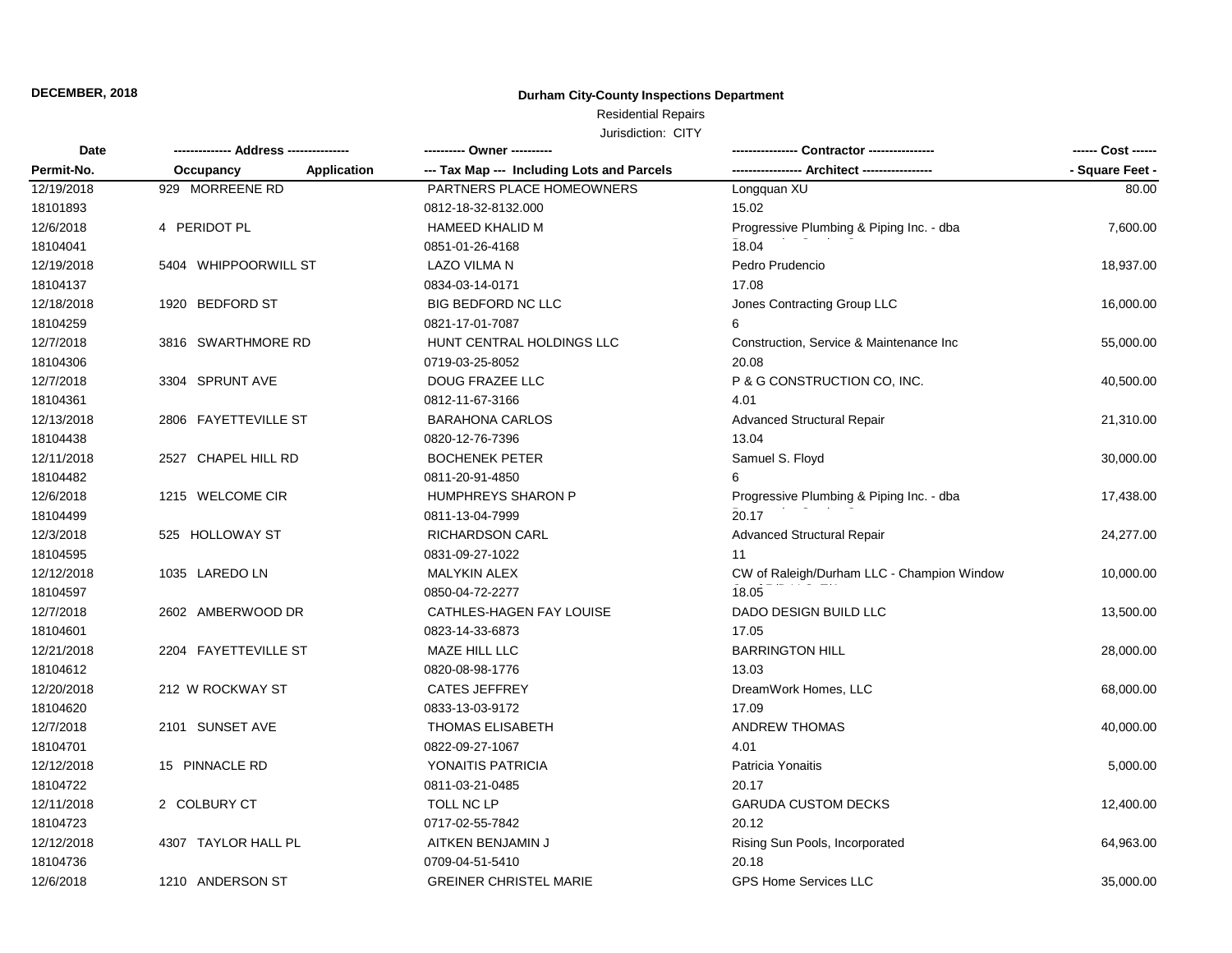### **Durham City-County Inspections Department**

### Residential Repairs

| Date<br>Permit-No. |                      |             |                                            |                                            | ------ Cost ------ |
|--------------------|----------------------|-------------|--------------------------------------------|--------------------------------------------|--------------------|
|                    | Occupancy            | Application | --- Tax Map --- Including Lots and Parcels |                                            | - Square Feet -    |
| 12/19/2018         | 929 MORREENE RD      |             | PARTNERS PLACE HOMEOWNERS                  | Longquan XU                                | 80.00              |
| 18101893           |                      |             | 0812-18-32-8132.000                        | 15.02                                      |                    |
| 12/6/2018          | 4 PERIDOT PL         |             | <b>HAMEED KHALID M</b>                     | Progressive Plumbing & Piping Inc. - dba   | 7,600.00           |
| 18104041           |                      |             | 0851-01-26-4168                            | 18.04                                      |                    |
| 12/19/2018         | 5404 WHIPPOORWILL ST |             | LAZO VILMA N                               | Pedro Prudencio                            | 18,937.00          |
| 18104137           |                      |             | 0834-03-14-0171                            | 17.08                                      |                    |
| 12/18/2018         | 1920 BEDFORD ST      |             | <b>BIG BEDFORD NC LLC</b>                  | Jones Contracting Group LLC                | 16,000.00          |
| 18104259           |                      |             | 0821-17-01-7087                            |                                            |                    |
| 12/7/2018          | 3816 SWARTHMORE RD   |             | HUNT CENTRAL HOLDINGS LLC                  | Construction, Service & Maintenance Inc.   | 55,000.00          |
| 18104306           |                      |             | 0719-03-25-8052                            | 20.08                                      |                    |
| 12/7/2018          | 3304 SPRUNT AVE      |             | DOUG FRAZEE LLC                            | P & G CONSTRUCTION CO, INC.                | 40,500.00          |
| 18104361           |                      |             | 0812-11-67-3166                            | 4.01                                       |                    |
| 12/13/2018         | 2806 FAYETTEVILLE ST |             | <b>BARAHONA CARLOS</b>                     | <b>Advanced Structural Repair</b>          | 21,310.00          |
| 18104438           |                      |             | 0820-12-76-7396                            | 13.04                                      |                    |
| 12/11/2018         | 2527 CHAPEL HILL RD  |             | <b>BOCHENEK PETER</b>                      | Samuel S. Floyd                            | 30,000.00          |
| 18104482           |                      |             | 0811-20-91-4850                            |                                            |                    |
| 12/6/2018          | 1215 WELCOME CIR     |             | <b>HUMPHREYS SHARON P</b>                  | Progressive Plumbing & Piping Inc. - dba   | 17,438.00          |
| 18104499           |                      |             | 0811-13-04-7999                            | 20.17                                      |                    |
| 12/3/2018          | 525 HOLLOWAY ST      |             | <b>RICHARDSON CARL</b>                     | Advanced Structural Repair                 | 24,277.00          |
| 18104595           |                      |             | 0831-09-27-1022                            | 11                                         |                    |
| 12/12/2018         | 1035 LAREDO LN       |             | <b>MALYKIN ALEX</b>                        | CW of Raleigh/Durham LLC - Champion Window | 10,000.00          |
| 18104597           |                      |             | 0850-04-72-2277                            | 18.05                                      |                    |
| 12/7/2018          | 2602 AMBERWOOD DR    |             | CATHLES-HAGEN FAY LOUISE                   | DADO DESIGN BUILD LLC                      | 13,500.00          |
| 18104601           |                      |             | 0823-14-33-6873                            | 17.05                                      |                    |
| 12/21/2018         | 2204 FAYETTEVILLE ST |             | MAZE HILL LLC                              | <b>BARRINGTON HILL</b>                     | 28,000.00          |
| 18104612           |                      |             | 0820-08-98-1776                            | 13.03                                      |                    |
| 12/20/2018         | 212 W ROCKWAY ST     |             | <b>CATES JEFFREY</b>                       | DreamWork Homes, LLC                       | 68,000.00          |
| 18104620           |                      |             | 0833-13-03-9172                            | 17.09                                      |                    |
| 12/7/2018          | 2101 SUNSET AVE      |             | <b>THOMAS ELISABETH</b>                    | <b>ANDREW THOMAS</b>                       | 40,000.00          |
| 18104701           |                      |             | 0822-09-27-1067                            | 4.01                                       |                    |
| 12/12/2018         | 15 PINNACLE RD       |             | YONAITIS PATRICIA                          | Patricia Yonaitis                          | 5,000.00           |
| 18104722           |                      |             | 0811-03-21-0485                            | 20.17                                      |                    |
| 12/11/2018         | 2 COLBURY CT         |             | TOLL NC LP                                 | <b>GARUDA CUSTOM DECKS</b>                 | 12,400.00          |
| 18104723           |                      |             | 0717-02-55-7842                            | 20.12                                      |                    |
| 12/12/2018         | 4307 TAYLOR HALL PL  |             | AITKEN BENJAMIN J                          | Rising Sun Pools, Incorporated             | 64,963.00          |
| 18104736           |                      |             | 0709-04-51-5410                            | 20.18                                      |                    |
| 12/6/2018          | 1210 ANDERSON ST     |             | <b>GREINER CHRISTEL MARIE</b>              | <b>GPS Home Services LLC</b>               | 35,000.00          |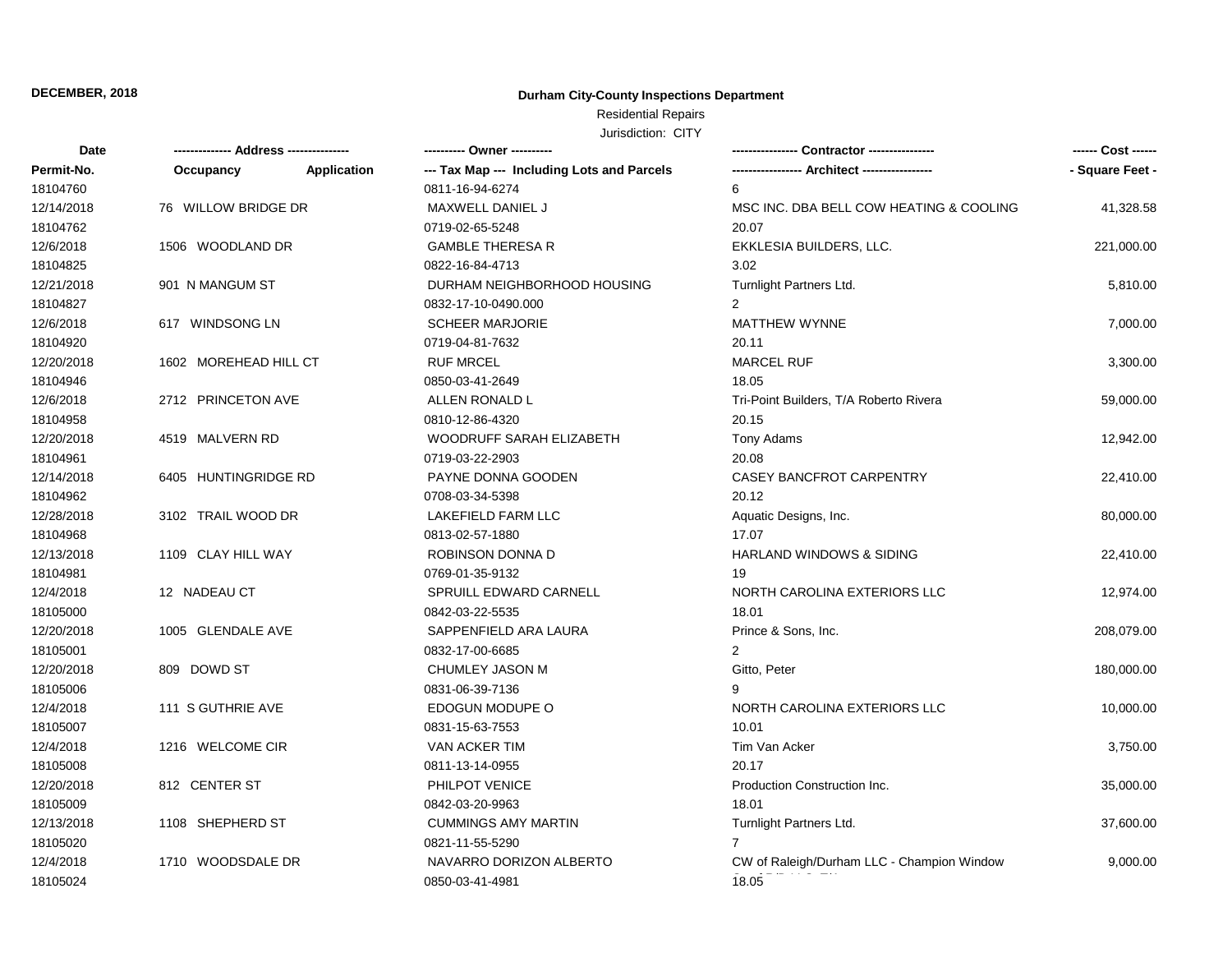### **Durham City-County Inspections Department**

### Residential Repairs

| Date       | ------------- Address -------------- |                    | ---------- Owner ----------                |                                            | ------ Cost ------ |
|------------|--------------------------------------|--------------------|--------------------------------------------|--------------------------------------------|--------------------|
| Permit-No. | Occupancy                            | <b>Application</b> | --- Tax Map --- Including Lots and Parcels |                                            | - Square Feet -    |
| 18104760   |                                      |                    | 0811-16-94-6274                            | 6                                          |                    |
| 12/14/2018 | 76 WILLOW BRIDGE DR                  |                    | MAXWELL DANIEL J                           | MSC INC. DBA BELL COW HEATING & COOLING    | 41,328.58          |
| 18104762   |                                      |                    | 0719-02-65-5248                            | 20.07                                      |                    |
| 12/6/2018  | 1506 WOODLAND DR                     |                    | <b>GAMBLE THERESA R</b>                    | EKKLESIA BUILDERS, LLC.                    | 221,000.00         |
| 18104825   |                                      |                    | 0822-16-84-4713                            | 3.02                                       |                    |
| 12/21/2018 | 901 N MANGUM ST                      |                    | DURHAM NEIGHBORHOOD HOUSING                | Turnlight Partners Ltd.                    | 5,810.00           |
| 18104827   |                                      |                    | 0832-17-10-0490.000                        | 2                                          |                    |
| 12/6/2018  | 617 WINDSONG LN                      |                    | <b>SCHEER MARJORIE</b>                     | <b>MATTHEW WYNNE</b>                       | 7,000.00           |
| 18104920   |                                      |                    | 0719-04-81-7632                            | 20.11                                      |                    |
| 12/20/2018 | 1602 MOREHEAD HILL CT                |                    | <b>RUF MRCEL</b>                           | <b>MARCEL RUF</b>                          | 3,300.00           |
| 18104946   |                                      |                    | 0850-03-41-2649                            | 18.05                                      |                    |
| 12/6/2018  | 2712 PRINCETON AVE                   |                    | ALLEN RONALD L                             | Tri-Point Builders, T/A Roberto Rivera     | 59,000.00          |
| 18104958   |                                      |                    | 0810-12-86-4320                            | 20.15                                      |                    |
| 12/20/2018 | 4519 MALVERN RD                      |                    | WOODRUFF SARAH ELIZABETH                   | <b>Tony Adams</b>                          | 12,942.00          |
| 18104961   |                                      |                    | 0719-03-22-2903                            | 20.08                                      |                    |
| 12/14/2018 | 6405 HUNTINGRIDGE RD                 |                    | PAYNE DONNA GOODEN                         | CASEY BANCFROT CARPENTRY                   | 22,410.00          |
| 18104962   |                                      |                    | 0708-03-34-5398                            | 20.12                                      |                    |
| 12/28/2018 | 3102 TRAIL WOOD DR                   |                    | LAKEFIELD FARM LLC                         | Aquatic Designs, Inc.                      | 80,000.00          |
| 18104968   |                                      |                    | 0813-02-57-1880                            | 17.07                                      |                    |
| 12/13/2018 | 1109 CLAY HILL WAY                   |                    | <b>ROBINSON DONNA D</b>                    | <b>HARLAND WINDOWS &amp; SIDING</b>        | 22,410.00          |
| 18104981   |                                      |                    | 0769-01-35-9132                            | 19                                         |                    |
| 12/4/2018  | 12 NADEAU CT                         |                    | SPRUILL EDWARD CARNELL                     | NORTH CAROLINA EXTERIORS LLC               | 12,974.00          |
| 18105000   |                                      |                    | 0842-03-22-5535                            | 18.01                                      |                    |
| 12/20/2018 | 1005 GLENDALE AVE                    |                    | SAPPENFIELD ARA LAURA                      | Prince & Sons, Inc.                        | 208,079.00         |
| 18105001   |                                      |                    | 0832-17-00-6685                            | 2                                          |                    |
| 12/20/2018 | 809 DOWD ST                          |                    | CHUMLEY JASON M                            | Gitto, Peter                               | 180,000.00         |
| 18105006   |                                      |                    | 0831-06-39-7136                            |                                            |                    |
| 12/4/2018  | 111 S GUTHRIE AVE                    |                    | EDOGUN MODUPE O                            | NORTH CAROLINA EXTERIORS LLC               | 10,000.00          |
| 18105007   |                                      |                    | 0831-15-63-7553                            | 10.01                                      |                    |
| 12/4/2018  | 1216 WELCOME CIR                     |                    | <b>VAN ACKER TIM</b>                       | Tim Van Acker                              | 3,750.00           |
| 18105008   |                                      |                    | 0811-13-14-0955                            | 20.17                                      |                    |
| 12/20/2018 | 812 CENTER ST                        |                    | PHILPOT VENICE                             | Production Construction Inc.               | 35,000.00          |
| 18105009   |                                      |                    | 0842-03-20-9963                            | 18.01                                      |                    |
| 12/13/2018 | 1108 SHEPHERD ST                     |                    | <b>CUMMINGS AMY MARTIN</b>                 | Turnlight Partners Ltd.                    | 37,600.00          |
| 18105020   |                                      |                    | 0821-11-55-5290                            | 7                                          |                    |
| 12/4/2018  | 1710 WOODSDALE DR                    |                    | NAVARRO DORIZON ALBERTO                    | CW of Raleigh/Durham LLC - Champion Window | 9,000.00           |
| 18105024   |                                      |                    | 0850-03-41-4981                            | 18.05                                      |                    |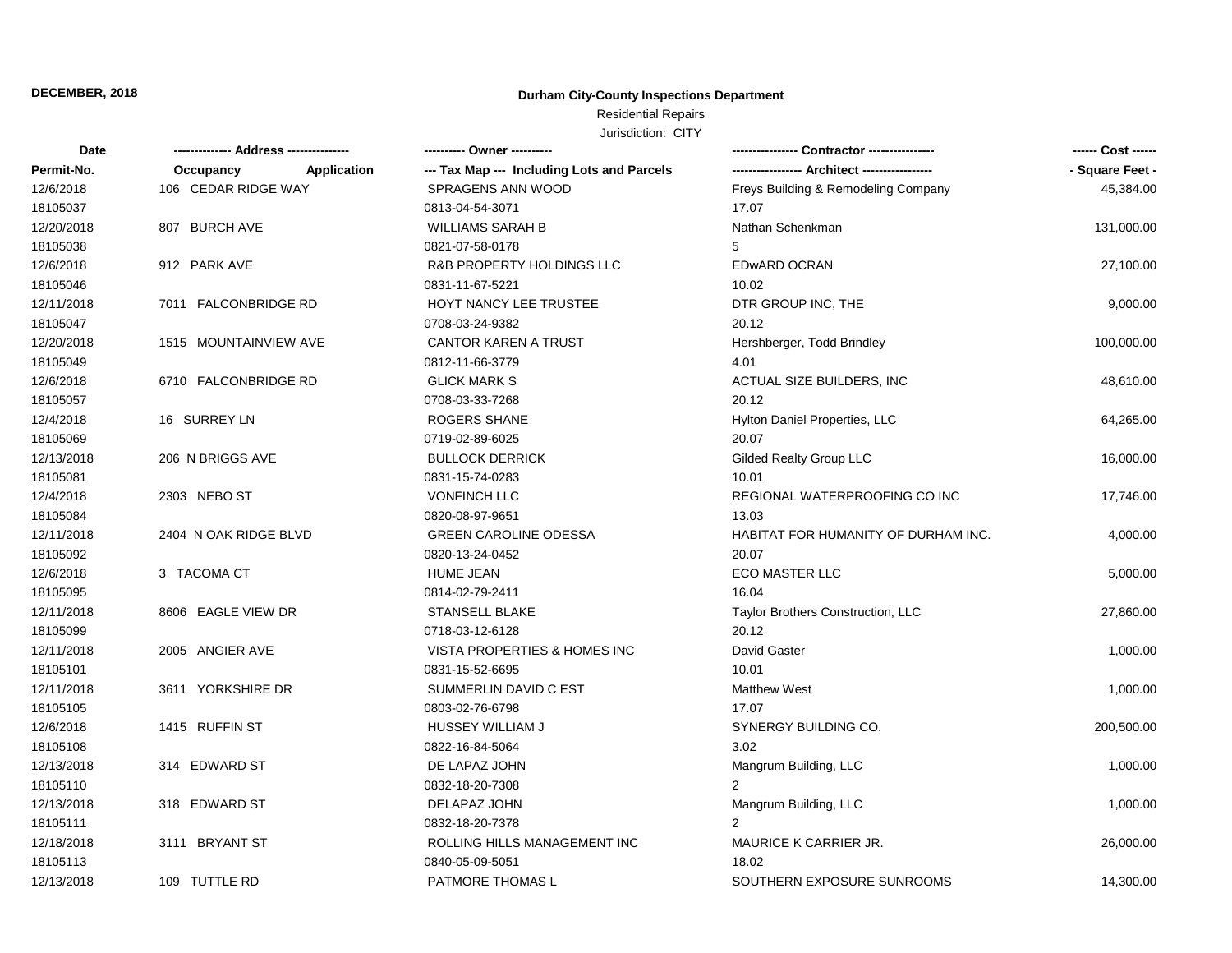### **Durham City-County Inspections Department**

# Residential Repairs

| <b>Date</b> |                                 | ---------- Owner ----------                |                                     |                 |
|-------------|---------------------------------|--------------------------------------------|-------------------------------------|-----------------|
| Permit-No.  | <b>Application</b><br>Occupancy | --- Tax Map --- Including Lots and Parcels |                                     | - Square Feet - |
| 12/6/2018   | 106 CEDAR RIDGE WAY             | SPRAGENS ANN WOOD                          | Freys Building & Remodeling Company | 45,384.00       |
| 18105037    |                                 | 0813-04-54-3071                            | 17.07                               |                 |
| 12/20/2018  | 807 BURCH AVE                   | <b>WILLIAMS SARAH B</b>                    | Nathan Schenkman                    | 131,000.00      |
| 18105038    |                                 | 0821-07-58-0178                            | 5                                   |                 |
| 12/6/2018   | 912 PARK AVE                    | R&B PROPERTY HOLDINGS LLC                  | <b>EDwARD OCRAN</b>                 | 27,100.00       |
| 18105046    |                                 | 0831-11-67-5221                            | 10.02                               |                 |
| 12/11/2018  | 7011 FALCONBRIDGE RD            | HOYT NANCY LEE TRUSTEE                     | DTR GROUP INC, THE                  | 9,000.00        |
| 18105047    |                                 | 0708-03-24-9382                            | 20.12                               |                 |
| 12/20/2018  | 1515 MOUNTAINVIEW AVE           | <b>CANTOR KAREN A TRUST</b>                | Hershberger, Todd Brindley          | 100,000.00      |
| 18105049    |                                 | 0812-11-66-3779                            | 4.01                                |                 |
| 12/6/2018   | 6710 FALCONBRIDGE RD            | <b>GLICK MARK S</b>                        | ACTUAL SIZE BUILDERS, INC           | 48,610.00       |
| 18105057    |                                 | 0708-03-33-7268                            | 20.12                               |                 |
| 12/4/2018   | 16 SURREY LN                    | <b>ROGERS SHANE</b>                        | Hylton Daniel Properties, LLC       | 64,265.00       |
| 18105069    |                                 | 0719-02-89-6025                            | 20.07                               |                 |
| 12/13/2018  | 206 N BRIGGS AVE                | <b>BULLOCK DERRICK</b>                     | <b>Gilded Realty Group LLC</b>      | 16,000.00       |
| 18105081    |                                 | 0831-15-74-0283                            | 10.01                               |                 |
| 12/4/2018   | 2303 NEBO ST                    | <b>VONFINCH LLC</b>                        | REGIONAL WATERPROOFING CO INC       | 17,746.00       |
| 18105084    |                                 | 0820-08-97-9651                            | 13.03                               |                 |
| 12/11/2018  | 2404 N OAK RIDGE BLVD           | <b>GREEN CAROLINE ODESSA</b>               | HABITAT FOR HUMANITY OF DURHAM INC. | 4,000.00        |
| 18105092    |                                 | 0820-13-24-0452                            | 20.07                               |                 |
| 12/6/2018   | 3 TACOMA CT                     | <b>HUME JEAN</b>                           | <b>ECO MASTER LLC</b>               | 5,000.00        |
| 18105095    |                                 | 0814-02-79-2411                            | 16.04                               |                 |
| 12/11/2018  | 8606 EAGLE VIEW DR              | <b>STANSELL BLAKE</b>                      | Taylor Brothers Construction, LLC   | 27,860.00       |
| 18105099    |                                 | 0718-03-12-6128                            | 20.12                               |                 |
| 12/11/2018  | 2005 ANGIER AVE                 | VISTA PROPERTIES & HOMES INC               | David Gaster                        | 1,000.00        |
| 18105101    |                                 | 0831-15-52-6695                            | 10.01                               |                 |
| 12/11/2018  | 3611 YORKSHIRE DR               | SUMMERLIN DAVID C EST                      | <b>Matthew West</b>                 | 1,000.00        |
| 18105105    |                                 | 0803-02-76-6798                            | 17.07                               |                 |
| 12/6/2018   | 1415 RUFFIN ST                  | HUSSEY WILLIAM J                           | SYNERGY BUILDING CO.                | 200,500.00      |
| 18105108    |                                 | 0822-16-84-5064                            | 3.02                                |                 |
| 12/13/2018  | 314 EDWARD ST                   | DE LAPAZ JOHN                              | Mangrum Building, LLC               | 1,000.00        |
| 18105110    |                                 | 0832-18-20-7308                            |                                     |                 |
| 12/13/2018  | 318 EDWARD ST                   | <b>DELAPAZ JOHN</b>                        | Mangrum Building, LLC               | 1,000.00        |
| 18105111    |                                 | 0832-18-20-7378                            |                                     |                 |
| 12/18/2018  | 3111 BRYANT ST                  | ROLLING HILLS MANAGEMENT INC               | MAURICE K CARRIER JR.               | 26,000.00       |
| 18105113    |                                 | 0840-05-09-5051                            | 18.02                               |                 |
| 12/13/2018  | 109 TUTTLE RD                   | <b>PATMORE THOMAS L</b>                    | SOUTHERN EXPOSURE SUNROOMS          | 14,300.00       |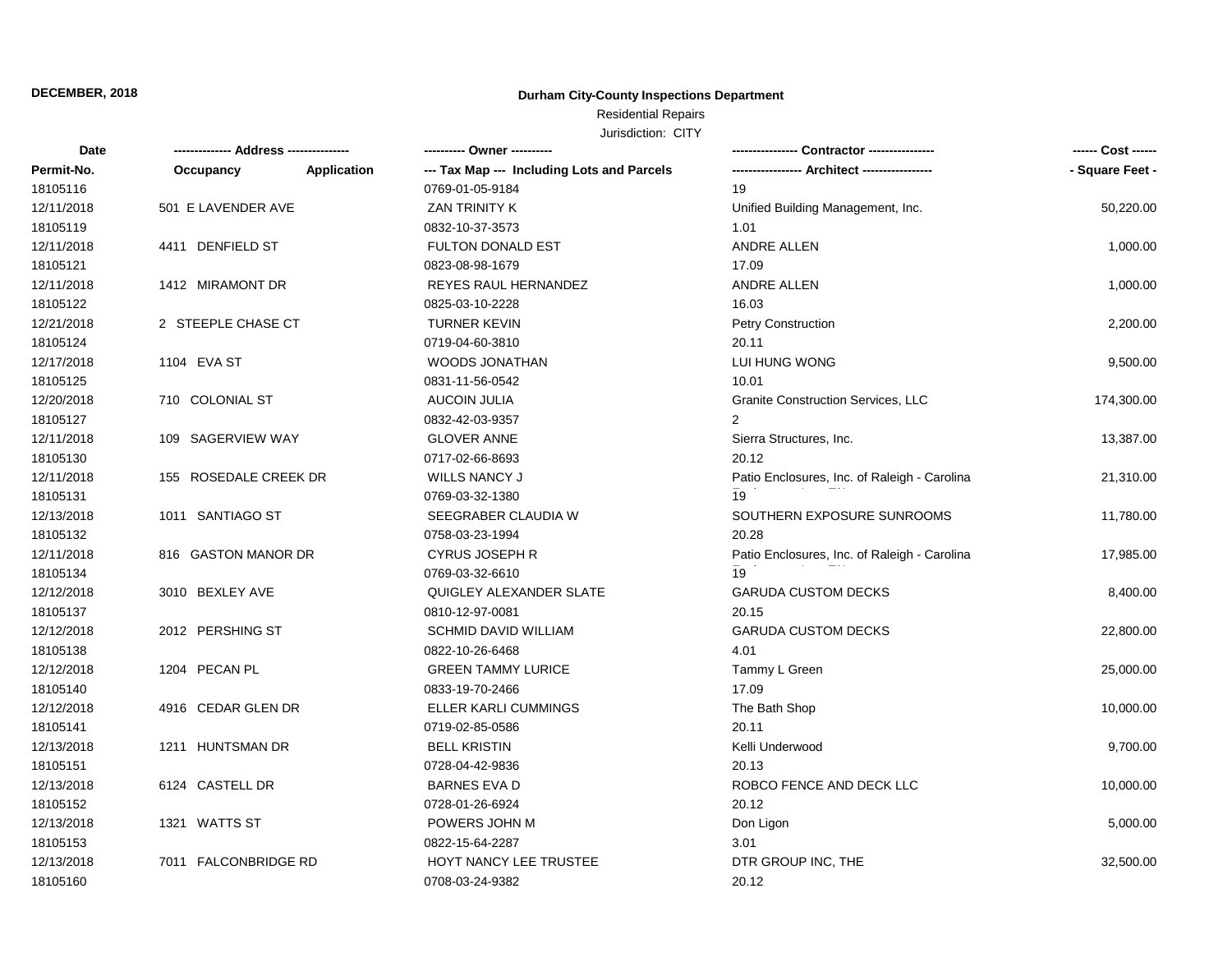### **Durham City-County Inspections Department**

# Residential Repairs

| Date       | ------------- Address --------------- |                    | ---------- Owner ----------                |                                              | ------ Cost ------ |
|------------|---------------------------------------|--------------------|--------------------------------------------|----------------------------------------------|--------------------|
| Permit-No. | Occupancy                             | <b>Application</b> | --- Tax Map --- Including Lots and Parcels | -- Architect --------                        | - Square Feet -    |
| 18105116   |                                       |                    | 0769-01-05-9184                            | 19                                           |                    |
| 12/11/2018 | 501 E LAVENDER AVE                    |                    | <b>ZAN TRINITY K</b>                       | Unified Building Management, Inc.            | 50,220.00          |
| 18105119   |                                       |                    | 0832-10-37-3573                            | 1.01                                         |                    |
| 12/11/2018 | 4411 DENFIELD ST                      |                    | <b>FULTON DONALD EST</b>                   | <b>ANDRE ALLEN</b>                           | 1,000.00           |
| 18105121   |                                       |                    | 0823-08-98-1679                            | 17.09                                        |                    |
| 12/11/2018 | 1412 MIRAMONT DR                      |                    | <b>REYES RAUL HERNANDEZ</b>                | <b>ANDRE ALLEN</b>                           | 1,000.00           |
| 18105122   |                                       |                    | 0825-03-10-2228                            | 16.03                                        |                    |
| 12/21/2018 | 2 STEEPLE CHASE CT                    |                    | <b>TURNER KEVIN</b>                        | Petry Construction                           | 2,200.00           |
| 18105124   |                                       |                    | 0719-04-60-3810                            | 20.11                                        |                    |
| 12/17/2018 | 1104 EVA ST                           |                    | <b>WOODS JONATHAN</b>                      | LUI HUNG WONG                                | 9,500.00           |
| 18105125   |                                       |                    | 0831-11-56-0542                            | 10.01                                        |                    |
| 12/20/2018 | 710 COLONIAL ST                       |                    | <b>AUCOIN JULIA</b>                        | <b>Granite Construction Services, LLC</b>    | 174,300.00         |
| 18105127   |                                       |                    | 0832-42-03-9357                            | 2                                            |                    |
| 12/11/2018 | 109 SAGERVIEW WAY                     |                    | <b>GLOVER ANNE</b>                         | Sierra Structures, Inc.                      | 13,387.00          |
| 18105130   |                                       |                    | 0717-02-66-8693                            | 20.12                                        |                    |
| 12/11/2018 | 155 ROSEDALE CREEK DR                 |                    | <b>WILLS NANCY J</b>                       | Patio Enclosures, Inc. of Raleigh - Carolina | 21,310.00          |
| 18105131   |                                       |                    | 0769-03-32-1380                            | 19                                           |                    |
| 12/13/2018 | 1011 SANTIAGO ST                      |                    | SEEGRABER CLAUDIA W                        | SOUTHERN EXPOSURE SUNROOMS                   | 11,780.00          |
| 18105132   |                                       |                    | 0758-03-23-1994                            | 20.28                                        |                    |
| 12/11/2018 | 816 GASTON MANOR DR                   |                    | <b>CYRUS JOSEPH R</b>                      | Patio Enclosures, Inc. of Raleigh - Carolina | 17,985.00          |
| 18105134   |                                       |                    | 0769-03-32-6610                            | 19                                           |                    |
| 12/12/2018 | 3010 BEXLEY AVE                       |                    | QUIGLEY ALEXANDER SLATE                    | <b>GARUDA CUSTOM DECKS</b>                   | 8,400.00           |
| 18105137   |                                       |                    | 0810-12-97-0081                            | 20.15                                        |                    |
| 12/12/2018 | 2012 PERSHING ST                      |                    | <b>SCHMID DAVID WILLIAM</b>                | <b>GARUDA CUSTOM DECKS</b>                   | 22,800.00          |
| 18105138   |                                       |                    | 0822-10-26-6468                            | 4.01                                         |                    |
| 12/12/2018 | 1204 PECAN PL                         |                    | <b>GREEN TAMMY LURICE</b>                  | Tammy L Green                                | 25,000.00          |
| 18105140   |                                       |                    | 0833-19-70-2466                            | 17.09                                        |                    |
| 12/12/2018 | 4916 CEDAR GLEN DR                    |                    | ELLER KARLI CUMMINGS                       | The Bath Shop                                | 10,000.00          |
| 18105141   |                                       |                    | 0719-02-85-0586                            | 20.11                                        |                    |
| 12/13/2018 | 1211 HUNTSMAN DR                      |                    | <b>BELL KRISTIN</b>                        | Kelli Underwood                              | 9,700.00           |
| 18105151   |                                       |                    | 0728-04-42-9836                            | 20.13                                        |                    |
| 12/13/2018 | 6124 CASTELL DR                       |                    | <b>BARNES EVA D</b>                        | ROBCO FENCE AND DECK LLC                     | 10,000.00          |
| 18105152   |                                       |                    | 0728-01-26-6924                            | 20.12                                        |                    |
| 12/13/2018 | 1321 WATTS ST                         |                    | POWERS JOHN M                              | Don Ligon                                    | 5,000.00           |
| 18105153   |                                       |                    | 0822-15-64-2287                            | 3.01                                         |                    |
| 12/13/2018 | 7011 FALCONBRIDGE RD                  |                    | HOYT NANCY LEE TRUSTEE                     | DTR GROUP INC, THE                           | 32,500.00          |
| 18105160   |                                       |                    | 0708-03-24-9382                            | 20.12                                        |                    |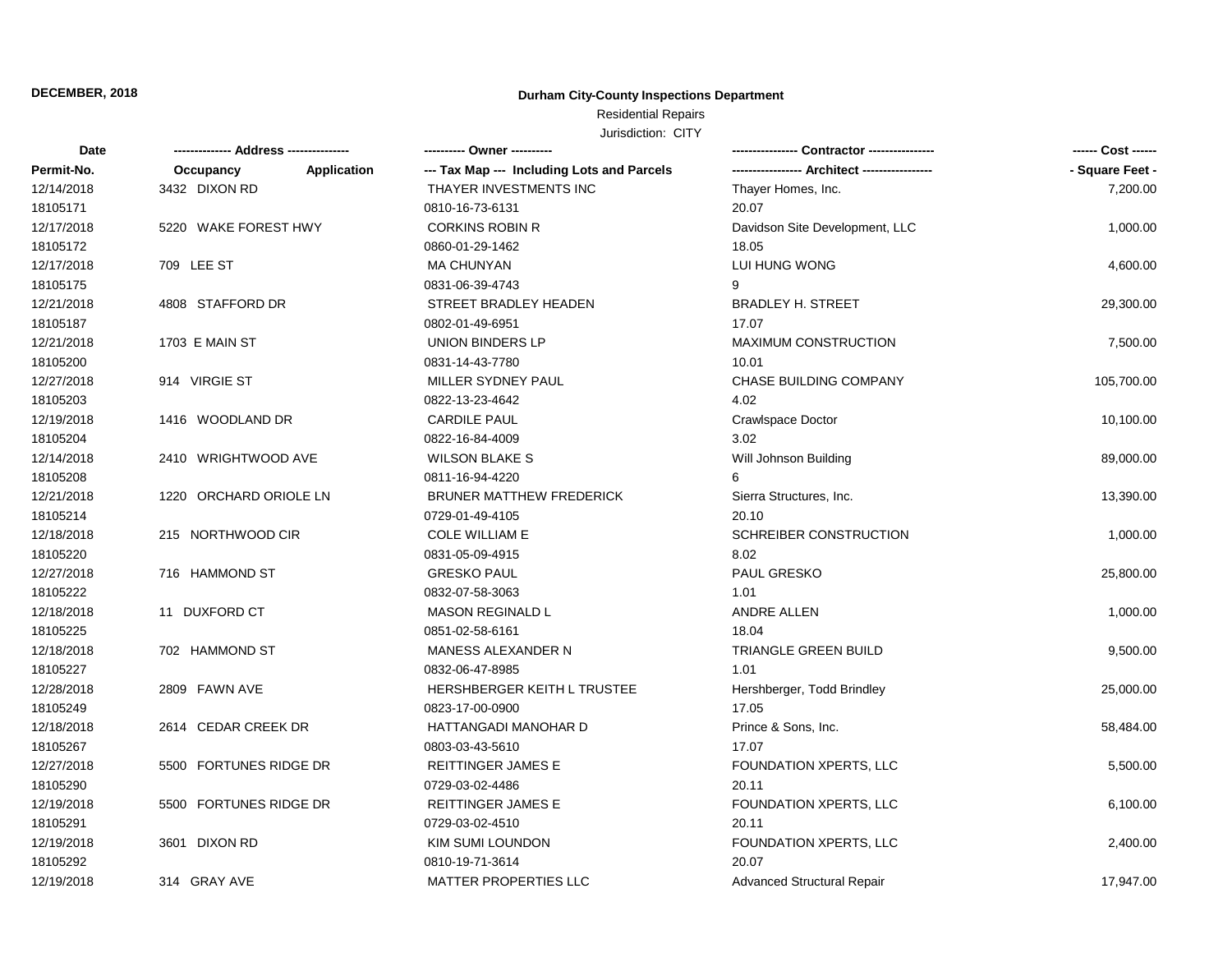### **Durham City-County Inspections Department**

## Residential Repairs

| Date       |                        |                    |                                            |                                | ------ Cost ------ |
|------------|------------------------|--------------------|--------------------------------------------|--------------------------------|--------------------|
| Permit-No. | Occupancy              | <b>Application</b> | --- Tax Map --- Including Lots and Parcels |                                | - Square Feet -    |
| 12/14/2018 | 3432 DIXON RD          |                    | THAYER INVESTMENTS INC                     | Thayer Homes, Inc.             | 7,200.00           |
| 18105171   |                        |                    | 0810-16-73-6131                            | 20.07                          |                    |
| 12/17/2018 | 5220 WAKE FOREST HWY   |                    | <b>CORKINS ROBIN R</b>                     | Davidson Site Development, LLC | 1,000.00           |
| 18105172   |                        |                    | 0860-01-29-1462                            | 18.05                          |                    |
| 12/17/2018 | 709 LEE ST             |                    | <b>MA CHUNYAN</b>                          | LUI HUNG WONG                  | 4,600.00           |
| 18105175   |                        |                    | 0831-06-39-4743                            | 9                              |                    |
| 12/21/2018 | 4808 STAFFORD DR       |                    | STREET BRADLEY HEADEN                      | <b>BRADLEY H. STREET</b>       | 29,300.00          |
| 18105187   |                        |                    | 0802-01-49-6951                            | 17.07                          |                    |
| 12/21/2018 | 1703 E MAIN ST         |                    | UNION BINDERS LP                           | <b>MAXIMUM CONSTRUCTION</b>    | 7,500.00           |
| 18105200   |                        |                    | 0831-14-43-7780                            | 10.01                          |                    |
| 12/27/2018 | 914 VIRGIE ST          |                    | MILLER SYDNEY PAUL                         | <b>CHASE BUILDING COMPANY</b>  | 105,700.00         |
| 18105203   |                        |                    | 0822-13-23-4642                            | 4.02                           |                    |
| 12/19/2018 | 1416 WOODLAND DR       |                    | <b>CARDILE PAUL</b>                        | Crawlspace Doctor              | 10,100.00          |
| 18105204   |                        |                    | 0822-16-84-4009                            | 3.02                           |                    |
| 12/14/2018 | 2410 WRIGHTWOOD AVE    |                    | <b>WILSON BLAKE S</b>                      | Will Johnson Building          | 89,000.00          |
| 18105208   |                        |                    | 0811-16-94-4220                            |                                |                    |
| 12/21/2018 | 1220 ORCHARD ORIOLE LN |                    | <b>BRUNER MATTHEW FREDERICK</b>            | Sierra Structures, Inc.        | 13,390.00          |
| 18105214   |                        |                    | 0729-01-49-4105                            | 20.10                          |                    |
| 12/18/2018 | 215 NORTHWOOD CIR      |                    | <b>COLE WILLIAM E</b>                      | SCHREIBER CONSTRUCTION         | 1,000.00           |
| 18105220   |                        |                    | 0831-05-09-4915                            | 8.02                           |                    |
| 12/27/2018 | 716 HAMMOND ST         |                    | <b>GRESKO PAUL</b>                         | <b>PAUL GRESKO</b>             | 25,800.00          |
| 18105222   |                        |                    | 0832-07-58-3063                            | 1.01                           |                    |
| 12/18/2018 | 11 DUXFORD CT          |                    | <b>MASON REGINALD L</b>                    | ANDRE ALLEN                    | 1,000.00           |
| 18105225   |                        |                    | 0851-02-58-6161                            | 18.04                          |                    |
| 12/18/2018 | 702 HAMMOND ST         |                    | MANESS ALEXANDER N                         | TRIANGLE GREEN BUILD           | 9,500.00           |
| 18105227   |                        |                    | 0832-06-47-8985                            | 1.01                           |                    |
| 12/28/2018 | 2809 FAWN AVE          |                    | HERSHBERGER KEITH L TRUSTEE                | Hershberger, Todd Brindley     | 25,000.00          |
| 18105249   |                        |                    | 0823-17-00-0900                            | 17.05                          |                    |
| 12/18/2018 | 2614 CEDAR CREEK DR    |                    | HATTANGADI MANOHAR D                       | Prince & Sons, Inc.            | 58,484.00          |
| 18105267   |                        |                    | 0803-03-43-5610                            | 17.07                          |                    |
| 12/27/2018 | 5500 FORTUNES RIDGE DR |                    | REITTINGER JAMES E                         | FOUNDATION XPERTS, LLC         | 5,500.00           |
| 18105290   |                        |                    | 0729-03-02-4486                            | 20.11                          |                    |
| 12/19/2018 | 5500 FORTUNES RIDGE DR |                    | <b>REITTINGER JAMES E</b>                  | FOUNDATION XPERTS, LLC         | 6,100.00           |
| 18105291   |                        |                    | 0729-03-02-4510                            | 20.11                          |                    |
| 12/19/2018 | 3601 DIXON RD          |                    | <b>KIM SUMI LOUNDON</b>                    | FOUNDATION XPERTS, LLC         | 2,400.00           |
| 18105292   |                        |                    | 0810-19-71-3614                            | 20.07                          |                    |
| 12/19/2018 | 314 GRAY AVE           |                    | <b>MATTER PROPERTIES LLC</b>               | Advanced Structural Repair     | 17,947.00          |